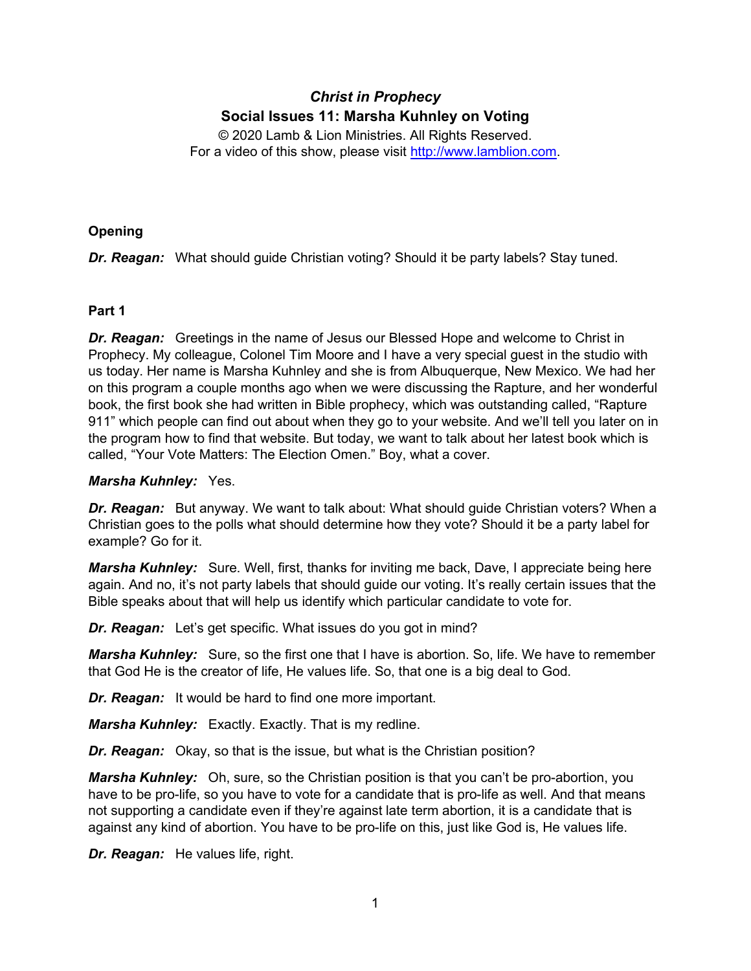# *Christ in Prophecy* **Social Issues 11: Marsha Kuhnley on Voting**

© 2020 Lamb & Lion Ministries. All Rights Reserved. For a video of this show, please visit [http://www.lamblion.com.](http://www.lamblion.com/)

# **Opening**

*Dr. Reagan:* What should guide Christian voting? Should it be party labels? Stay tuned.

# **Part 1**

**Dr. Reagan:** Greetings in the name of Jesus our Blessed Hope and welcome to Christ in Prophecy. My colleague, Colonel Tim Moore and I have a very special guest in the studio with us today. Her name is Marsha Kuhnley and she is from Albuquerque, New Mexico. We had her on this program a couple months ago when we were discussing the Rapture, and her wonderful book, the first book she had written in Bible prophecy, which was outstanding called, "Rapture 911" which people can find out about when they go to your website. And we'll tell you later on in the program how to find that website. But today, we want to talk about her latest book which is called, "Your Vote Matters: The Election Omen." Boy, what a cover.

# *Marsha Kuhnley:* Yes.

*Dr. Reagan:* But anyway. We want to talk about: What should guide Christian voters? When a Christian goes to the polls what should determine how they vote? Should it be a party label for example? Go for it.

*Marsha Kuhnley:* Sure. Well, first, thanks for inviting me back, Dave, I appreciate being here again. And no, it's not party labels that should guide our voting. It's really certain issues that the Bible speaks about that will help us identify which particular candidate to vote for.

*Dr. Reagan:* Let's get specific. What issues do you got in mind?

*Marsha Kuhnley:* Sure, so the first one that I have is abortion. So, life. We have to remember that God He is the creator of life, He values life. So, that one is a big deal to God.

*Dr. Reagan:* It would be hard to find one more important.

*Marsha Kuhnley:* Exactly. Exactly. That is my redline.

*Dr. Reagan:* Okay, so that is the issue, but what is the Christian position?

*Marsha Kuhnley:* Oh, sure, so the Christian position is that you can't be pro-abortion, you have to be pro-life, so you have to vote for a candidate that is pro-life as well. And that means not supporting a candidate even if they're against late term abortion, it is a candidate that is against any kind of abortion. You have to be pro-life on this, just like God is, He values life.

*Dr. Reagan:* He values life, right.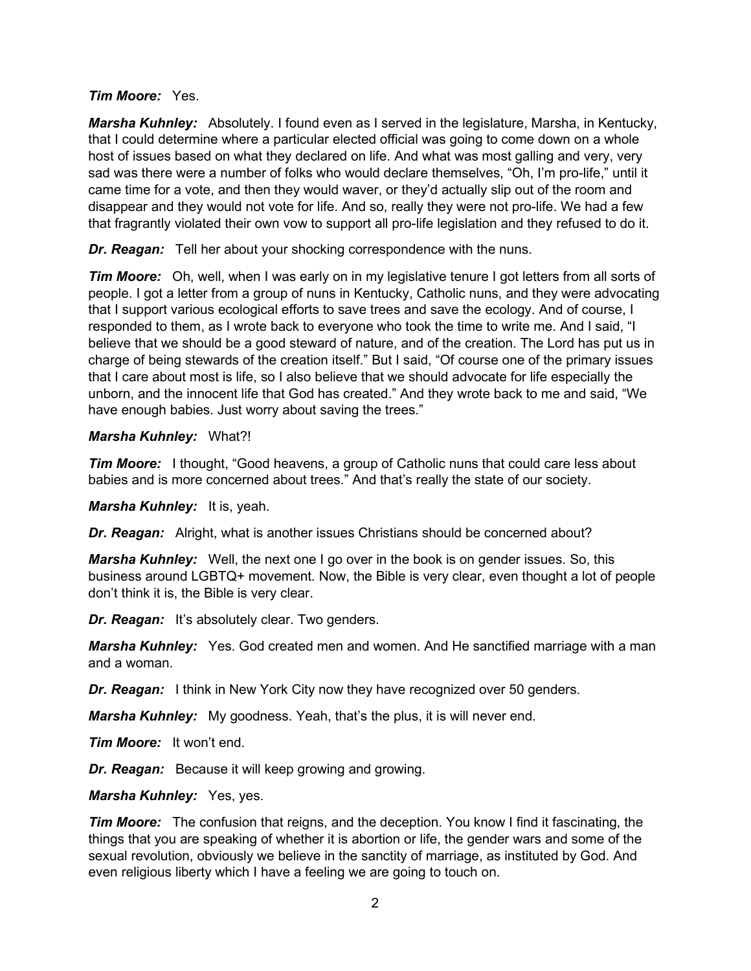#### *Tim Moore:* Yes.

*Marsha Kuhnley:* Absolutely. I found even as I served in the legislature, Marsha, in Kentucky, that I could determine where a particular elected official was going to come down on a whole host of issues based on what they declared on life. And what was most galling and very, very sad was there were a number of folks who would declare themselves, "Oh, I'm pro-life," until it came time for a vote, and then they would waver, or they'd actually slip out of the room and disappear and they would not vote for life. And so, really they were not pro-life. We had a few that fragrantly violated their own vow to support all pro-life legislation and they refused to do it.

*Dr. Reagan:* Tell her about your shocking correspondence with the nuns.

**Tim Moore:** Oh, well, when I was early on in my legislative tenure I got letters from all sorts of people. I got a letter from a group of nuns in Kentucky, Catholic nuns, and they were advocating that I support various ecological efforts to save trees and save the ecology. And of course, I responded to them, as I wrote back to everyone who took the time to write me. And I said, "I believe that we should be a good steward of nature, and of the creation. The Lord has put us in charge of being stewards of the creation itself." But I said, "Of course one of the primary issues that I care about most is life, so I also believe that we should advocate for life especially the unborn, and the innocent life that God has created." And they wrote back to me and said, "We have enough babies. Just worry about saving the trees."

#### *Marsha Kuhnley:* What?!

*Tim Moore:* I thought, "Good heavens, a group of Catholic nuns that could care less about babies and is more concerned about trees." And that's really the state of our society.

*Marsha Kuhnley:* It is, yeah.

*Dr. Reagan:* Alright, what is another issues Christians should be concerned about?

*Marsha Kuhnley:* Well, the next one I go over in the book is on gender issues. So, this business around LGBTQ+ movement. Now, the Bible is very clear, even thought a lot of people don't think it is, the Bible is very clear.

**Dr. Reagan:** It's absolutely clear. Two genders.

*Marsha Kuhnley:* Yes. God created men and women. And He sanctified marriage with a man and a woman.

*Dr. Reagan:* I think in New York City now they have recognized over 50 genders.

*Marsha Kuhnley:* My goodness. Yeah, that's the plus, it is will never end.

*Tim Moore:* It won't end.

*Dr. Reagan:* Because it will keep growing and growing.

*Marsha Kuhnley:* Yes, yes.

*Tim Moore:* The confusion that reigns, and the deception. You know I find it fascinating, the things that you are speaking of whether it is abortion or life, the gender wars and some of the sexual revolution, obviously we believe in the sanctity of marriage, as instituted by God. And even religious liberty which I have a feeling we are going to touch on.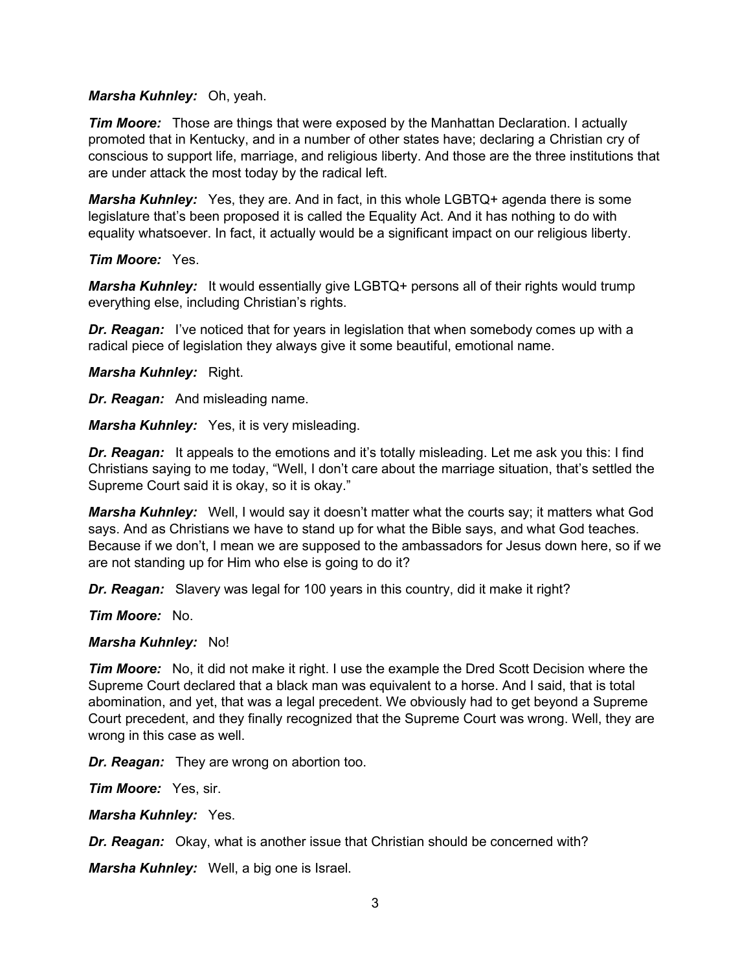#### *Marsha Kuhnley:* Oh, yeah.

*Tim Moore:* Those are things that were exposed by the Manhattan Declaration. I actually promoted that in Kentucky, and in a number of other states have; declaring a Christian cry of conscious to support life, marriage, and religious liberty. And those are the three institutions that are under attack the most today by the radical left.

*Marsha Kuhnley:* Yes, they are. And in fact, in this whole LGBTQ+ agenda there is some legislature that's been proposed it is called the Equality Act. And it has nothing to do with equality whatsoever. In fact, it actually would be a significant impact on our religious liberty.

*Tim Moore:* Yes.

*Marsha Kuhnley:* It would essentially give LGBTQ+ persons all of their rights would trump everything else, including Christian's rights.

*Dr. Reagan:* I've noticed that for years in legislation that when somebody comes up with a radical piece of legislation they always give it some beautiful, emotional name.

*Marsha Kuhnley:* Right.

*Dr. Reagan:* And misleading name.

*Marsha Kuhnley:* Yes, it is very misleading.

*Dr. Reagan:* It appeals to the emotions and it's totally misleading. Let me ask you this: I find Christians saying to me today, "Well, I don't care about the marriage situation, that's settled the Supreme Court said it is okay, so it is okay."

*Marsha Kuhnley:* Well, I would say it doesn't matter what the courts say; it matters what God says. And as Christians we have to stand up for what the Bible says, and what God teaches. Because if we don't, I mean we are supposed to the ambassadors for Jesus down here, so if we are not standing up for Him who else is going to do it?

*Dr. Reagan:* Slavery was legal for 100 years in this country, did it make it right?

*Tim Moore:* No.

#### *Marsha Kuhnley:* No!

*Tim Moore:* No, it did not make it right. I use the example the Dred Scott Decision where the Supreme Court declared that a black man was equivalent to a horse. And I said, that is total abomination, and yet, that was a legal precedent. We obviously had to get beyond a Supreme Court precedent, and they finally recognized that the Supreme Court was wrong. Well, they are wrong in this case as well.

*Dr. Reagan:* They are wrong on abortion too.

*Tim Moore:* Yes, sir.

*Marsha Kuhnley:* Yes.

*Dr. Reagan:* Okay, what is another issue that Christian should be concerned with?

*Marsha Kuhnley:* Well, a big one is Israel.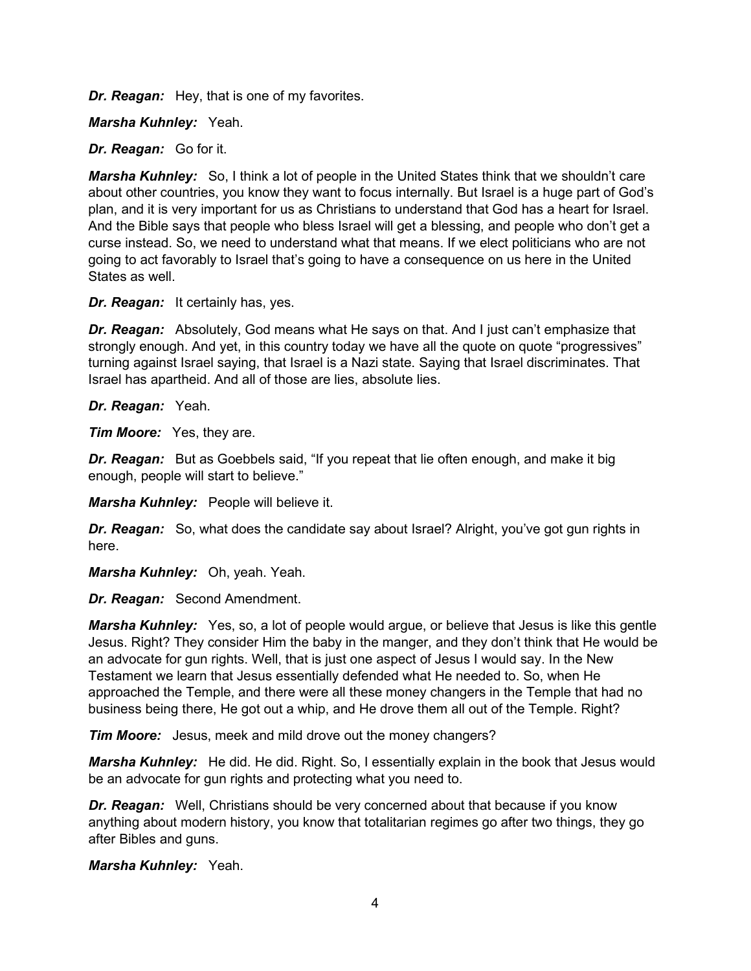*Dr. Reagan:* Hey, that is one of my favorites.

*Marsha Kuhnley:* Yeah.

*Dr. Reagan:* Go for it.

*Marsha Kuhnley:* So, I think a lot of people in the United States think that we shouldn't care about other countries, you know they want to focus internally. But Israel is a huge part of God's plan, and it is very important for us as Christians to understand that God has a heart for Israel. And the Bible says that people who bless Israel will get a blessing, and people who don't get a curse instead. So, we need to understand what that means. If we elect politicians who are not going to act favorably to Israel that's going to have a consequence on us here in the United States as well.

*Dr. Reagan:* It certainly has, yes.

*Dr. Reagan:* Absolutely, God means what He says on that. And I just can't emphasize that strongly enough. And yet, in this country today we have all the quote on quote "progressives" turning against Israel saying, that Israel is a Nazi state. Saying that Israel discriminates. That Israel has apartheid. And all of those are lies, absolute lies.

*Dr. Reagan:* Yeah.

*Tim Moore:* Yes, they are.

*Dr. Reagan:* But as Goebbels said, "If you repeat that lie often enough, and make it big enough, people will start to believe."

*Marsha Kuhnley:* People will believe it.

*Dr. Reagan:* So, what does the candidate say about Israel? Alright, you've got gun rights in here.

*Marsha Kuhnley:* Oh, yeah. Yeah.

*Dr. Reagan:* Second Amendment.

*Marsha Kuhnley:* Yes, so, a lot of people would argue, or believe that Jesus is like this gentle Jesus. Right? They consider Him the baby in the manger, and they don't think that He would be an advocate for gun rights. Well, that is just one aspect of Jesus I would say. In the New Testament we learn that Jesus essentially defended what He needed to. So, when He approached the Temple, and there were all these money changers in the Temple that had no business being there, He got out a whip, and He drove them all out of the Temple. Right?

*Tim Moore:* Jesus, meek and mild drove out the money changers?

*Marsha Kuhnley:* He did. He did. Right. So, I essentially explain in the book that Jesus would be an advocate for gun rights and protecting what you need to.

*Dr. Reagan:* Well, Christians should be very concerned about that because if you know anything about modern history, you know that totalitarian regimes go after two things, they go after Bibles and guns.

*Marsha Kuhnley:* Yeah.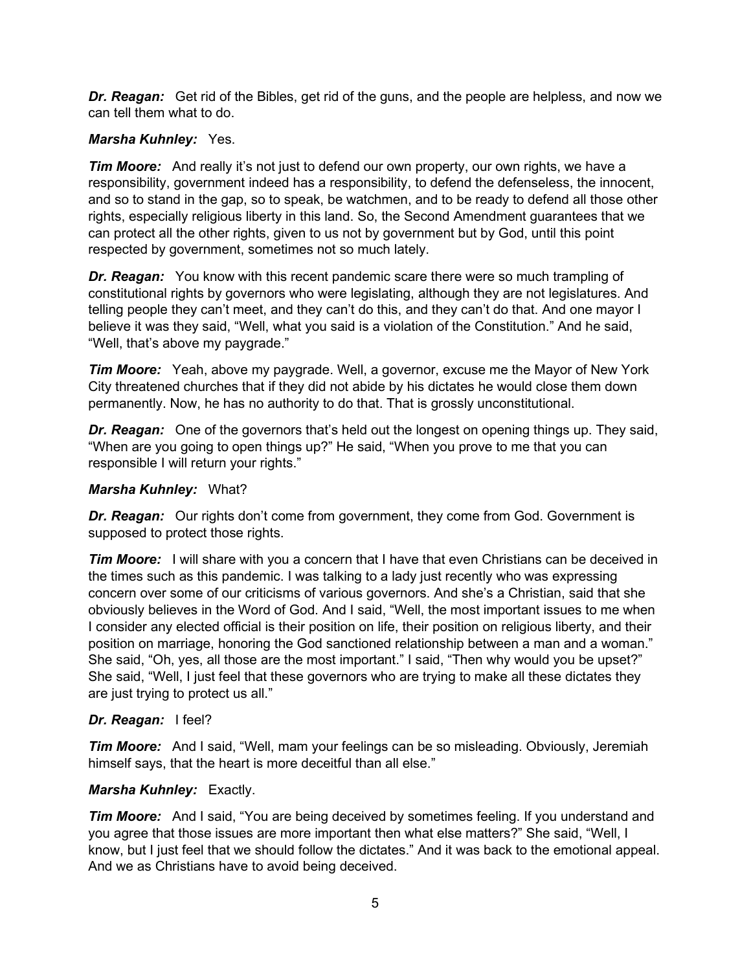*Dr. Reagan:* Get rid of the Bibles, get rid of the guns, and the people are helpless, and now we can tell them what to do.

## *Marsha Kuhnley:* Yes.

*Tim Moore:* And really it's not just to defend our own property, our own rights, we have a responsibility, government indeed has a responsibility, to defend the defenseless, the innocent, and so to stand in the gap, so to speak, be watchmen, and to be ready to defend all those other rights, especially religious liberty in this land. So, the Second Amendment guarantees that we can protect all the other rights, given to us not by government but by God, until this point respected by government, sometimes not so much lately.

*Dr. Reagan:* You know with this recent pandemic scare there were so much trampling of constitutional rights by governors who were legislating, although they are not legislatures. And telling people they can't meet, and they can't do this, and they can't do that. And one mayor I believe it was they said, "Well, what you said is a violation of the Constitution." And he said, "Well, that's above my paygrade."

*Tim Moore:* Yeah, above my paygrade. Well, a governor, excuse me the Mayor of New York City threatened churches that if they did not abide by his dictates he would close them down permanently. Now, he has no authority to do that. That is grossly unconstitutional.

*Dr. Reagan:* One of the governors that's held out the longest on opening things up. They said, "When are you going to open things up?" He said, "When you prove to me that you can responsible I will return your rights."

## *Marsha Kuhnley:* What?

**Dr. Reagan:** Our rights don't come from government, they come from God. Government is supposed to protect those rights.

**Tim Moore:** I will share with you a concern that I have that even Christians can be deceived in the times such as this pandemic. I was talking to a lady just recently who was expressing concern over some of our criticisms of various governors. And she's a Christian, said that she obviously believes in the Word of God. And I said, "Well, the most important issues to me when I consider any elected official is their position on life, their position on religious liberty, and their position on marriage, honoring the God sanctioned relationship between a man and a woman." She said, "Oh, yes, all those are the most important." I said, "Then why would you be upset?" She said, "Well, I just feel that these governors who are trying to make all these dictates they are just trying to protect us all."

## *Dr. Reagan:* I feel?

*Tim Moore:* And I said, "Well, mam your feelings can be so misleading. Obviously, Jeremiah himself says, that the heart is more deceitful than all else."

## *Marsha Kuhnley:* Exactly.

*Tim Moore:* And I said, "You are being deceived by sometimes feeling. If you understand and you agree that those issues are more important then what else matters?" She said, "Well, I know, but I just feel that we should follow the dictates." And it was back to the emotional appeal. And we as Christians have to avoid being deceived.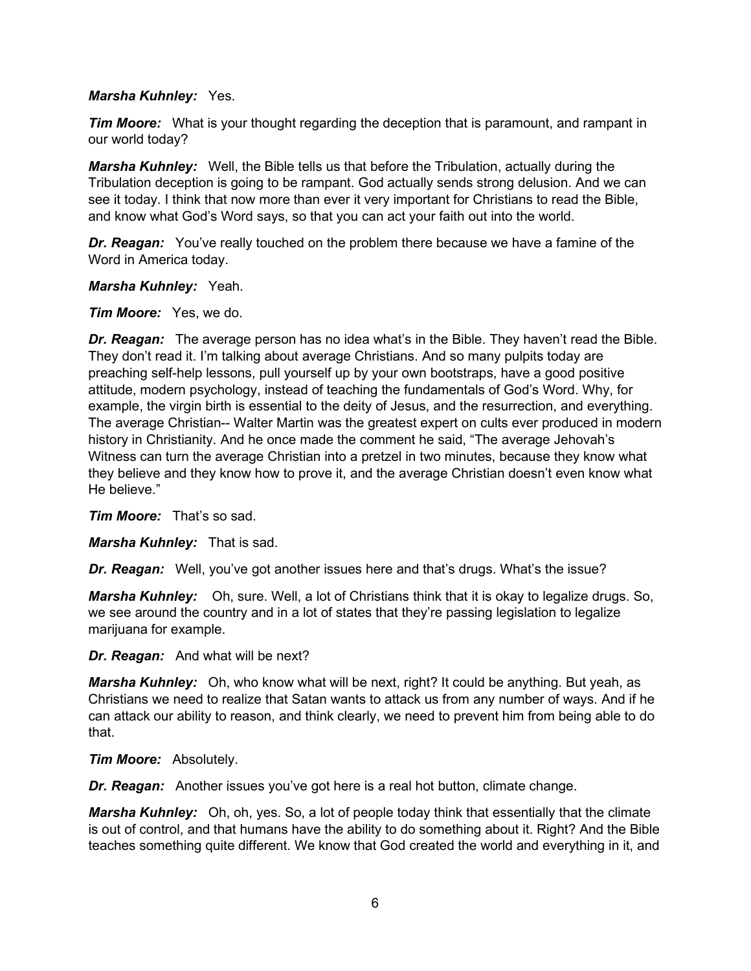#### *Marsha Kuhnley:* Yes.

*Tim Moore:* What is your thought regarding the deception that is paramount, and rampant in our world today?

*Marsha Kuhnley:* Well, the Bible tells us that before the Tribulation, actually during the Tribulation deception is going to be rampant. God actually sends strong delusion. And we can see it today. I think that now more than ever it very important for Christians to read the Bible, and know what God's Word says, so that you can act your faith out into the world.

*Dr. Reagan:* You've really touched on the problem there because we have a famine of the Word in America today.

*Marsha Kuhnley:* Yeah.

#### *Tim Moore:* Yes, we do.

*Dr. Reagan:* The average person has no idea what's in the Bible. They haven't read the Bible. They don't read it. I'm talking about average Christians. And so many pulpits today are preaching self-help lessons, pull yourself up by your own bootstraps, have a good positive attitude, modern psychology, instead of teaching the fundamentals of God's Word. Why, for example, the virgin birth is essential to the deity of Jesus, and the resurrection, and everything. The average Christian-- Walter Martin was the greatest expert on cults ever produced in modern history in Christianity. And he once made the comment he said, "The average Jehovah's Witness can turn the average Christian into a pretzel in two minutes, because they know what they believe and they know how to prove it, and the average Christian doesn't even know what He believe."

*Tim Moore:* That's so sad.

*Marsha Kuhnley:* That is sad.

*Dr. Reagan:* Well, you've got another issues here and that's drugs. What's the issue?

*Marsha Kuhnley:* Oh, sure. Well, a lot of Christians think that it is okay to legalize drugs. So, we see around the country and in a lot of states that they're passing legislation to legalize marijuana for example.

*Dr. Reagan:* And what will be next?

*Marsha Kuhnley:* Oh, who know what will be next, right? It could be anything. But yeah, as Christians we need to realize that Satan wants to attack us from any number of ways. And if he can attack our ability to reason, and think clearly, we need to prevent him from being able to do that.

*Tim Moore:* Absolutely.

*Dr. Reagan:* Another issues you've got here is a real hot button, climate change.

*Marsha Kuhnley:* Oh, oh, yes. So, a lot of people today think that essentially that the climate is out of control, and that humans have the ability to do something about it. Right? And the Bible teaches something quite different. We know that God created the world and everything in it, and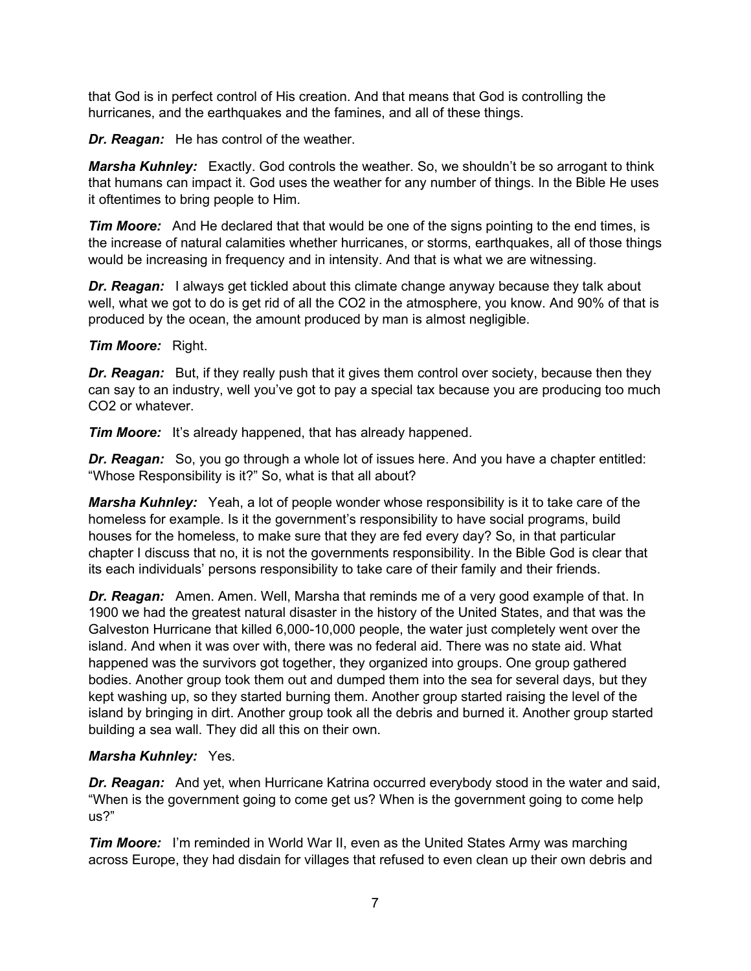that God is in perfect control of His creation. And that means that God is controlling the hurricanes, and the earthquakes and the famines, and all of these things.

*Dr. Reagan:* He has control of the weather.

*Marsha Kuhnley:* Exactly. God controls the weather. So, we shouldn't be so arrogant to think that humans can impact it. God uses the weather for any number of things. In the Bible He uses it oftentimes to bring people to Him.

*Tim Moore:* And He declared that that would be one of the signs pointing to the end times, is the increase of natural calamities whether hurricanes, or storms, earthquakes, all of those things would be increasing in frequency and in intensity. And that is what we are witnessing.

**Dr. Reagan:** I always get tickled about this climate change anyway because they talk about well, what we got to do is get rid of all the CO2 in the atmosphere, you know. And 90% of that is produced by the ocean, the amount produced by man is almost negligible.

#### *Tim Moore:* Right.

**Dr. Reagan:** But, if they really push that it gives them control over society, because then they can say to an industry, well you've got to pay a special tax because you are producing too much CO2 or whatever.

*Tim Moore:* It's already happened, that has already happened.

*Dr. Reagan:* So, you go through a whole lot of issues here. And you have a chapter entitled: "Whose Responsibility is it?" So, what is that all about?

*Marsha Kuhnley:* Yeah, a lot of people wonder whose responsibility is it to take care of the homeless for example. Is it the government's responsibility to have social programs, build houses for the homeless, to make sure that they are fed every day? So, in that particular chapter I discuss that no, it is not the governments responsibility. In the Bible God is clear that its each individuals' persons responsibility to take care of their family and their friends.

*Dr. Reagan:* Amen. Amen. Well, Marsha that reminds me of a very good example of that. In 1900 we had the greatest natural disaster in the history of the United States, and that was the Galveston Hurricane that killed 6,000-10,000 people, the water just completely went over the island. And when it was over with, there was no federal aid. There was no state aid. What happened was the survivors got together, they organized into groups. One group gathered bodies. Another group took them out and dumped them into the sea for several days, but they kept washing up, so they started burning them. Another group started raising the level of the island by bringing in dirt. Another group took all the debris and burned it. Another group started building a sea wall. They did all this on their own.

## *Marsha Kuhnley:* Yes.

*Dr. Reagan:* And yet, when Hurricane Katrina occurred everybody stood in the water and said, "When is the government going to come get us? When is the government going to come help us?"

*Tim Moore:* I'm reminded in World War II, even as the United States Army was marching across Europe, they had disdain for villages that refused to even clean up their own debris and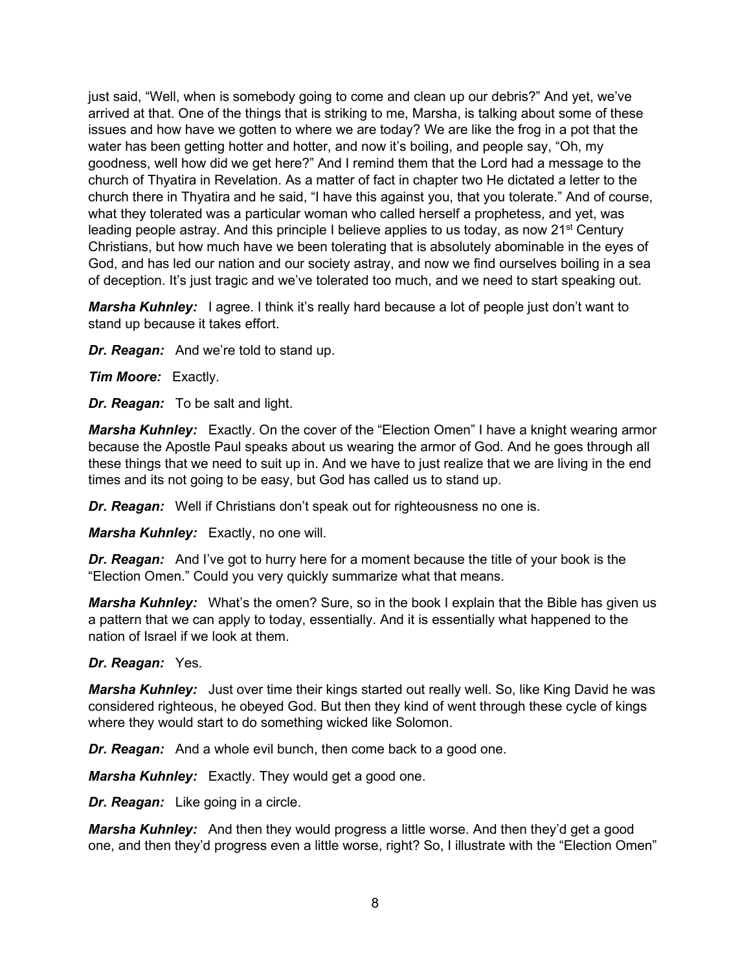just said, "Well, when is somebody going to come and clean up our debris?" And yet, we've arrived at that. One of the things that is striking to me, Marsha, is talking about some of these issues and how have we gotten to where we are today? We are like the frog in a pot that the water has been getting hotter and hotter, and now it's boiling, and people say, "Oh, my goodness, well how did we get here?" And I remind them that the Lord had a message to the church of Thyatira in Revelation. As a matter of fact in chapter two He dictated a letter to the church there in Thyatira and he said, "I have this against you, that you tolerate." And of course, what they tolerated was a particular woman who called herself a prophetess, and yet, was leading people astray. And this principle I believe applies to us today, as now  $21<sup>st</sup>$  Century Christians, but how much have we been tolerating that is absolutely abominable in the eyes of God, and has led our nation and our society astray, and now we find ourselves boiling in a sea of deception. It's just tragic and we've tolerated too much, and we need to start speaking out.

*Marsha Kuhnley:* I agree. I think it's really hard because a lot of people just don't want to stand up because it takes effort.

*Dr. Reagan:* And we're told to stand up.

*Tim Moore:* Exactly.

*Dr. Reagan:* To be salt and light.

*Marsha Kuhnley:* Exactly. On the cover of the "Election Omen" I have a knight wearing armor because the Apostle Paul speaks about us wearing the armor of God. And he goes through all these things that we need to suit up in. And we have to just realize that we are living in the end times and its not going to be easy, but God has called us to stand up.

*Dr. Reagan:* Well if Christians don't speak out for righteousness no one is.

*Marsha Kuhnley:* Exactly, no one will.

*Dr. Reagan:* And I've got to hurry here for a moment because the title of your book is the "Election Omen." Could you very quickly summarize what that means.

*Marsha Kuhnley:* What's the omen? Sure, so in the book I explain that the Bible has given us a pattern that we can apply to today, essentially. And it is essentially what happened to the nation of Israel if we look at them.

#### *Dr. Reagan:* Yes.

*Marsha Kuhnley:* Just over time their kings started out really well. So, like King David he was considered righteous, he obeyed God. But then they kind of went through these cycle of kings where they would start to do something wicked like Solomon.

*Dr. Reagan:* And a whole evil bunch, then come back to a good one.

*Marsha Kuhnley:* Exactly. They would get a good one.

*Dr. Reagan:* Like going in a circle.

*Marsha Kuhnley:* And then they would progress a little worse. And then they'd get a good one, and then they'd progress even a little worse, right? So, I illustrate with the "Election Omen"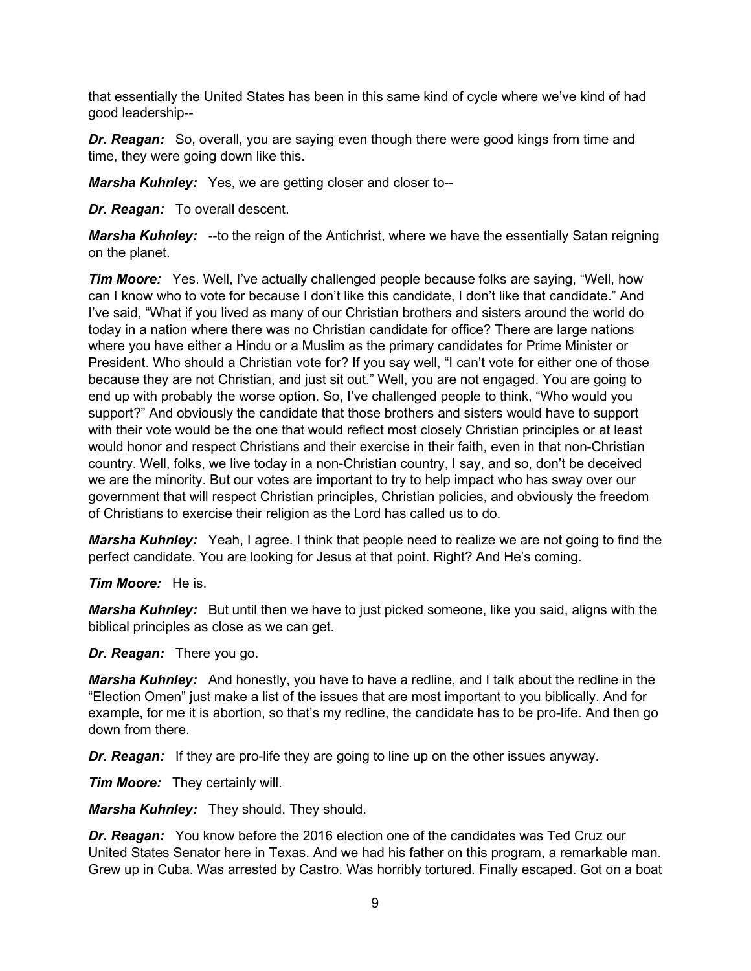that essentially the United States has been in this same kind of cycle where we've kind of had good leadership--

*Dr. Reagan:* So, overall, you are saying even though there were good kings from time and time, they were going down like this.

*Marsha Kuhnley:* Yes, we are getting closer and closer to--

*Dr. Reagan:* To overall descent.

*Marsha Kuhnley:* --to the reign of the Antichrist, where we have the essentially Satan reigning on the planet.

*Tim Moore:* Yes. Well, I've actually challenged people because folks are saying, "Well, how can I know who to vote for because I don't like this candidate, I don't like that candidate." And I've said, "What if you lived as many of our Christian brothers and sisters around the world do today in a nation where there was no Christian candidate for office? There are large nations where you have either a Hindu or a Muslim as the primary candidates for Prime Minister or President. Who should a Christian vote for? If you say well, "I can't vote for either one of those because they are not Christian, and just sit out." Well, you are not engaged. You are going to end up with probably the worse option. So, I've challenged people to think, "Who would you support?" And obviously the candidate that those brothers and sisters would have to support with their vote would be the one that would reflect most closely Christian principles or at least would honor and respect Christians and their exercise in their faith, even in that non-Christian country. Well, folks, we live today in a non-Christian country, I say, and so, don't be deceived we are the minority. But our votes are important to try to help impact who has sway over our government that will respect Christian principles, Christian policies, and obviously the freedom of Christians to exercise their religion as the Lord has called us to do.

*Marsha Kuhnley:* Yeah, I agree. I think that people need to realize we are not going to find the perfect candidate. You are looking for Jesus at that point. Right? And He's coming.

*Tim Moore:* He is.

*Marsha Kuhnley:* But until then we have to just picked someone, like you said, aligns with the biblical principles as close as we can get.

*Dr. Reagan:* There you go.

*Marsha Kuhnley:* And honestly, you have to have a redline, and I talk about the redline in the "Election Omen" just make a list of the issues that are most important to you biblically. And for example, for me it is abortion, so that's my redline, the candidate has to be pro-life. And then go down from there.

*Dr. Reagan:* If they are pro-life they are going to line up on the other issues anyway.

*Tim Moore:* They certainly will.

*Marsha Kuhnley:* They should. They should.

*Dr. Reagan:* You know before the 2016 election one of the candidates was Ted Cruz our United States Senator here in Texas. And we had his father on this program, a remarkable man. Grew up in Cuba. Was arrested by Castro. Was horribly tortured. Finally escaped. Got on a boat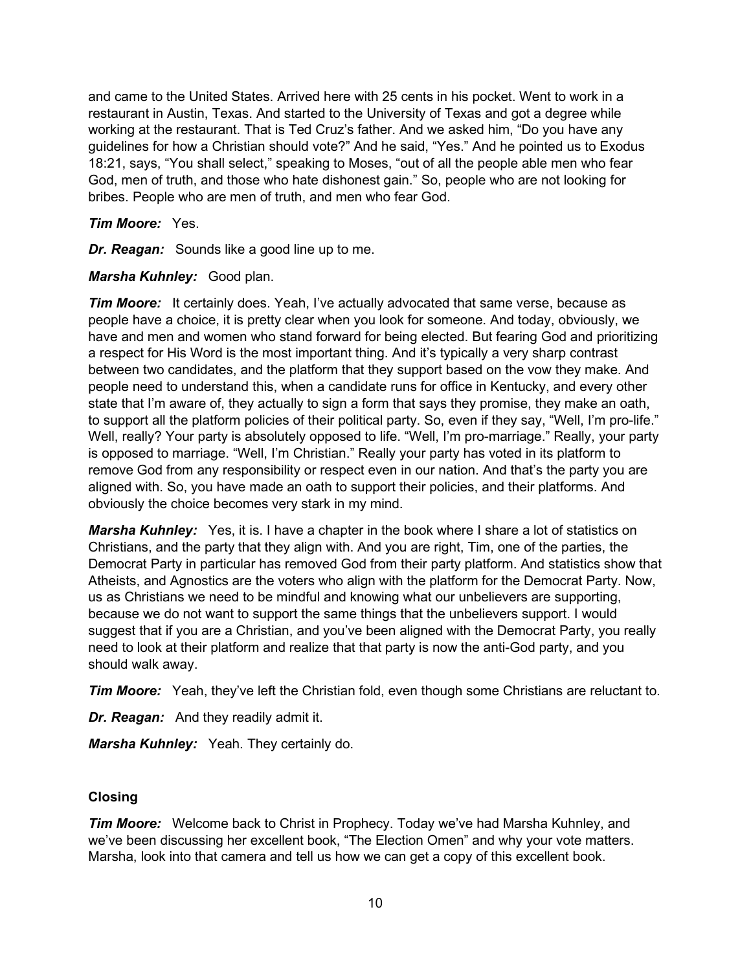and came to the United States. Arrived here with 25 cents in his pocket. Went to work in a restaurant in Austin, Texas. And started to the University of Texas and got a degree while working at the restaurant. That is Ted Cruz's father. And we asked him, "Do you have any guidelines for how a Christian should vote?" And he said, "Yes." And he pointed us to Exodus 18:21, says, "You shall select," speaking to Moses, "out of all the people able men who fear God, men of truth, and those who hate dishonest gain." So, people who are not looking for bribes. People who are men of truth, and men who fear God.

## *Tim Moore:* Yes.

*Dr. Reagan:* Sounds like a good line up to me.

# *Marsha Kuhnley:* Good plan.

*Tim Moore:* It certainly does. Yeah, I've actually advocated that same verse, because as people have a choice, it is pretty clear when you look for someone. And today, obviously, we have and men and women who stand forward for being elected. But fearing God and prioritizing a respect for His Word is the most important thing. And it's typically a very sharp contrast between two candidates, and the platform that they support based on the vow they make. And people need to understand this, when a candidate runs for office in Kentucky, and every other state that I'm aware of, they actually to sign a form that says they promise, they make an oath, to support all the platform policies of their political party. So, even if they say, "Well, I'm pro-life." Well, really? Your party is absolutely opposed to life. "Well, I'm pro-marriage." Really, your party is opposed to marriage. "Well, I'm Christian." Really your party has voted in its platform to remove God from any responsibility or respect even in our nation. And that's the party you are aligned with. So, you have made an oath to support their policies, and their platforms. And obviously the choice becomes very stark in my mind.

*Marsha Kuhnley:* Yes, it is. I have a chapter in the book where I share a lot of statistics on Christians, and the party that they align with. And you are right, Tim, one of the parties, the Democrat Party in particular has removed God from their party platform. And statistics show that Atheists, and Agnostics are the voters who align with the platform for the Democrat Party. Now, us as Christians we need to be mindful and knowing what our unbelievers are supporting, because we do not want to support the same things that the unbelievers support. I would suggest that if you are a Christian, and you've been aligned with the Democrat Party, you really need to look at their platform and realize that that party is now the anti-God party, and you should walk away.

*Tim Moore:* Yeah, they've left the Christian fold, even though some Christians are reluctant to.

*Dr. Reagan:* And they readily admit it.

*Marsha Kuhnley:* Yeah. They certainly do.

# **Closing**

*Tim Moore:* Welcome back to Christ in Prophecy. Today we've had Marsha Kuhnley, and we've been discussing her excellent book, "The Election Omen" and why your vote matters. Marsha, look into that camera and tell us how we can get a copy of this excellent book.